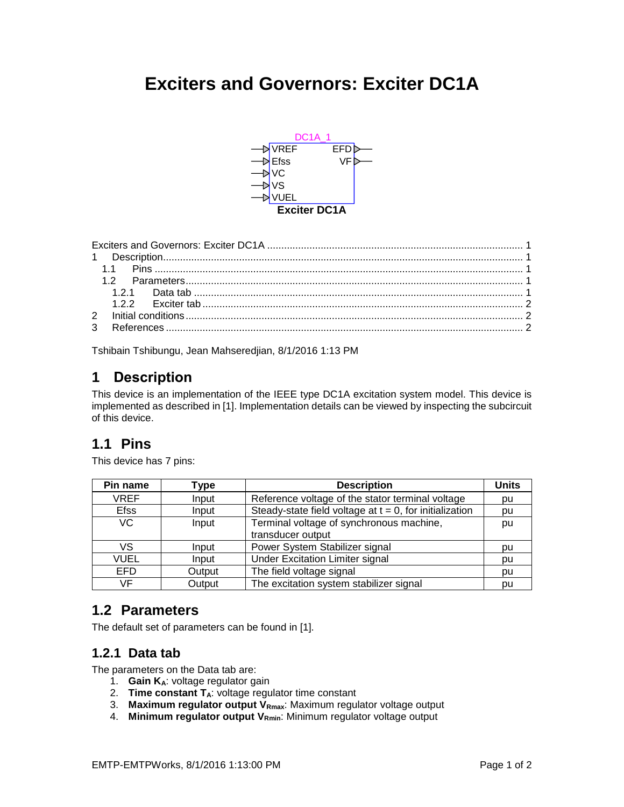# <span id="page-0-0"></span>**Exciters and Governors: Exciter DC1A**



<span id="page-0-1"></span>Tshibain Tshibungu, Jean Mahseredjian, 8/1/2016 1:13 PM

# **1 Description**

This device is an implementation of the IEEE type DC1A excitation system model. This device is implemented as described i[n \[1\].](#page-1-3) Implementation details can be viewed by inspecting the subcircuit of this device.

# <span id="page-0-2"></span>**1.1 Pins**

This device has 7 pins:

| Pin name    | Type   | <b>Description</b>                                         | <b>Units</b> |
|-------------|--------|------------------------------------------------------------|--------------|
| <b>VREF</b> | Input  | Reference voltage of the stator terminal voltage           | pu           |
| <b>Efss</b> | Input  | Steady-state field voltage at $t = 0$ , for initialization | pu           |
| VC.         | Input  | Terminal voltage of synchronous machine,                   | pu           |
|             |        | transducer output                                          |              |
| VS          | Input  | Power System Stabilizer signal                             | pu           |
| <b>VUEL</b> | Input  | <b>Under Excitation Limiter signal</b>                     | pu           |
| <b>EFD</b>  | Output | The field voltage signal                                   | pu           |
| VF          | Output | The excitation system stabilizer signal                    | pu           |

## <span id="page-0-3"></span>**1.2 Parameters**

<span id="page-0-4"></span>The default set of parameters can be found in [\[1\].](#page-1-3)

#### **1.2.1 Data tab**

The parameters on the Data tab are:

- 1. **Gain KA**: voltage regulator gain
- 2. **Time constant TA**: voltage regulator time constant
- 3. **Maximum regulator output VRmax**: Maximum regulator voltage output
- 4. **Minimum regulator output VRmin**: Minimum regulator voltage output